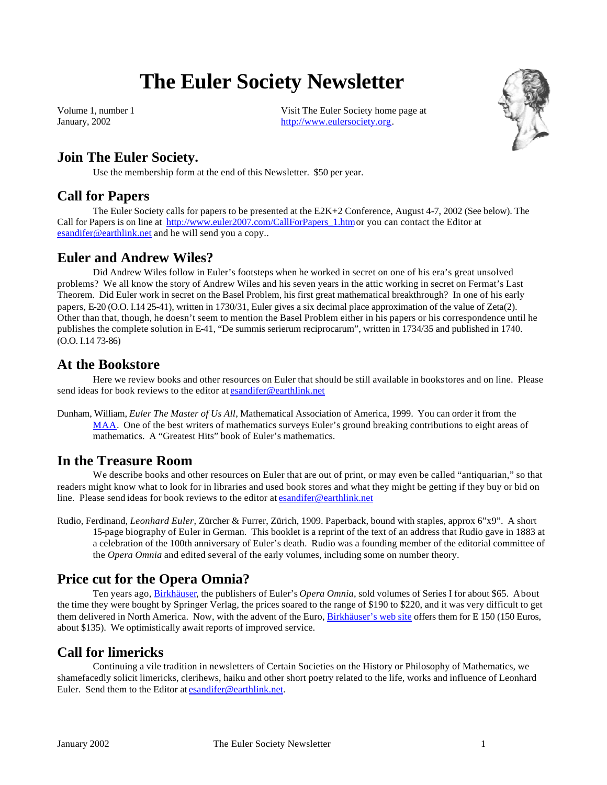# **The Euler Society Newsletter**

Volume 1, number 1 January, 2002

Visit The Euler Society home page at http://www.eulersociety.org.



# **Join The Euler Society.**

Use the membership form at the end of this Newsletter. \$50 per year.

#### **Call for Papers**

The Euler Society calls for papers to be presented at the E2K+2 Conference, August 4-7, 2002 (See below). The Call for Papers is on line at http://www.euler2007.com/CallForPapers\_1.htm or you can contact the Editor at esandifer@earthlink.net and he will send you a copy..

#### **Euler and Andrew Wiles?**

Did Andrew Wiles follow in Euler's footsteps when he worked in secret on one of his era's great unsolved problems? We all know the story of Andrew Wiles and his seven years in the attic working in secret on Fermat's Last Theorem. Did Euler work in secret on the Basel Problem, his first great mathematical breakthrough? In one of his early papers, E-20 (O.O. I.14 25-41), written in 1730/31, Euler gives a six decimal place approximation of the value of Zeta(2). Other than that, though, he doesn't seem to mention the Basel Problem either in his papers or his correspondence until he publishes the complete solution in E-41, "De summis serierum reciprocarum", written in 1734/35 and published in 1740. (O.O. I.14 73-86)

#### **At the Bookstore**

Here we review books and other resources on Euler that should be still available in bookstores and on line. Please send ideas for book reviews to the editor at esandifer@earthlink.net

Dunham, William, *Euler The Master of Us All*, Mathematical Association of America, 1999. You can order it from the MAA. One of the best writers of mathematics surveys Euler's ground breaking contributions to eight areas of mathematics. A "Greatest Hits" book of Euler's mathematics.

#### **In the Treasure Room**

We describe books and other resources on Euler that are out of print, or may even be called "antiquarian," so that readers might know what to look for in libraries and used book stores and what they might be getting if they buy or bid on line. Please send ideas for book reviews to the editor at esandifer@earthlink.net

Rudio, Ferdinand, *Leonhard Euler*, Zürcher & Furrer, Zürich, 1909. Paperback, bound with staples, approx 6"x9". A short 15-page biography of Euler in German. This booklet is a reprint of the text of an address that Rudio gave in 1883 at a celebration of the 100th anniversary of Euler's death. Rudio was a founding member of the editorial committee of the *Opera Omnia* and edited several of the early volumes, including some on number theory.

### **Price cut for the Opera Omnia?**

Ten years ago, Birkhäuser, the publishers of Euler's *Opera Omnia*, sold volumes of Series I for about \$65. About the time they were bought by Springer Verlag, the prices soared to the range of \$190 to \$220, and it was very difficult to get them delivered in North America. Now, with the advent of the Euro, Birkhäuser's web site offers them for E 150 (150 Euros, about \$135). We optimistically await reports of improved service.

### **Call for limericks**

Continuing a vile tradition in newsletters of Certain Societies on the History or Philosophy of Mathematics, we shamefacedly solicit limericks, clerihews, haiku and other short poetry related to the life, works and influence of Leonhard Euler. Send them to the Editor at esandifer@earthlink.net.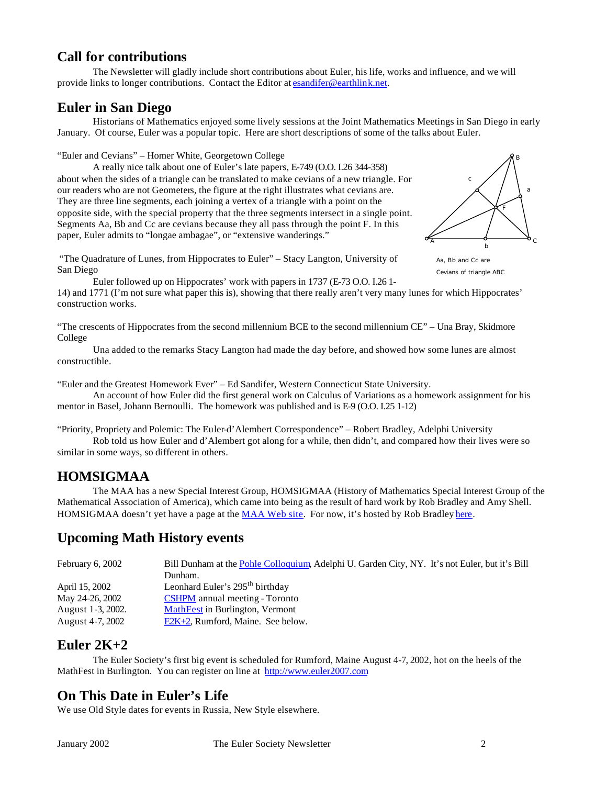#### **Call for contributions**

The Newsletter will gladly include short contributions about Euler, his life, works and influence, and we will provide links to longer contributions. Contact the Editor at esandifer@earthlink.net.

### **Euler in San Diego**

Historians of Mathematics enjoyed some lively sessions at the Joint Mathematics Meetings in San Diego in early January. Of course, Euler was a popular topic. Here are short descriptions of some of the talks about Euler.

"Euler and Cevians" – Homer White, Georgetown College

A really nice talk about one of Euler's late papers, E-749 (O.O. I.26 344-358) about when the sides of a triangle can be translated to make cevians of a new triangle. For our readers who are not Geometers, the figure at the right illustrates what cevians are. They are three line segments, each joining a vertex of a triangle with a point on the opposite side, with the special property that the three segments intersect in a single point. Segments Aa, Bb and Cc are cevians because they all pass through the point F. In this paper, Euler admits to "longae ambagae", or "extensive wanderings."



Cevians of triangle ABC

 "The Quadrature of Lunes, from Hippocrates to Euler" – Stacy Langton, University of San Diego

Euler followed up on Hippocrates' work with papers in 1737 (E-73 O.O. I.26 1- 14) and 1771 (I'm not sure what paper this is), showing that there really aren't very many lunes for which Hippocrates' construction works.

"The crescents of Hippocrates from the second millennium BCE to the second millennium CE" – Una Bray, Skidmore College

Una added to the remarks Stacy Langton had made the day before, and showed how some lunes are almost constructible.

"Euler and the Greatest Homework Ever" – Ed Sandifer, Western Connecticut State University.

An account of how Euler did the first general work on Calculus of Variations as a homework assignment for his mentor in Basel, Johann Bernoulli. The homework was published and is E-9 (O.O. I.25 1-12)

"Priority, Propriety and Polemic: The Euler-d'Alembert Correspondence" – Robert Bradley, Adelphi University Rob told us how Euler and d'Alembert got along for a while, then didn't, and compared how their lives were so

similar in some ways, so different in others.

### **HOMSIGMAA**

The MAA has a new Special Interest Group, HOMSIGMAA (History of Mathematics Special Interest Group of the Mathematical Association of America), which came into being as the result of hard work by Rob Bradley and Amy Shell. HOMSIGMAA doesn't yet have a page at the MAA Web site. For now, it's hosted by Rob Bradley here.

### **Upcoming Math History events**

| February $6, 2002$ | Bill Dunham at the Pohle Colloquium, Adelphi U. Garden City, NY. It's not Euler, but it's Bill |
|--------------------|------------------------------------------------------------------------------------------------|
|                    | Dunham.                                                                                        |
| April 15, 2002     | Leonhard Euler's 295 <sup>th</sup> birthday                                                    |
| May 24-26, 2002    | <b>CSHPM</b> annual meeting - Toronto                                                          |
| August 1-3, 2002.  | MathFest in Burlington, Vermont                                                                |
| August 4-7, 2002   | $E2K+2$ , Rumford, Maine. See below.                                                           |

### **Euler 2K+2**

The Euler Society's first big event is scheduled for Rumford, Maine August 4-7, 2002, hot on the heels of the MathFest in Burlington. You can register on line at http://www.euler2007.com

### **On This Date in Euler's Life**

We use Old Style dates for events in Russia, New Style elsewhere.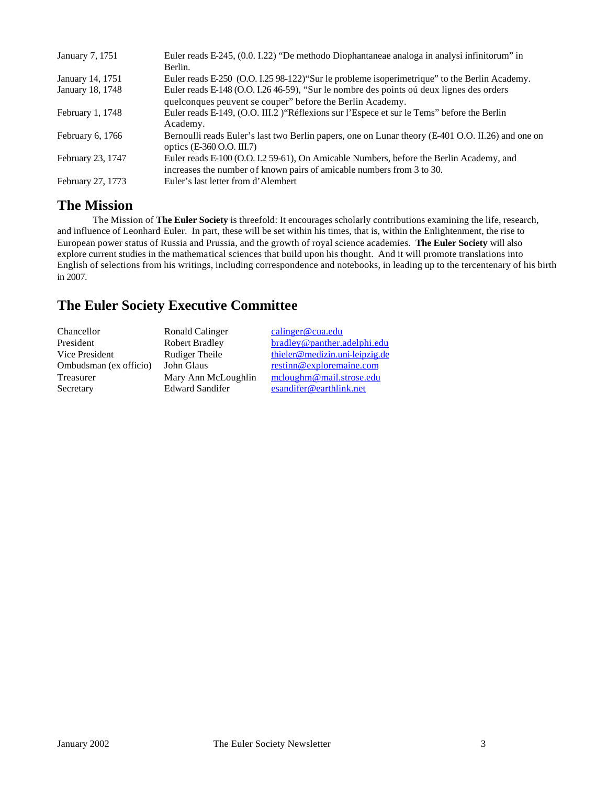| Euler reads E-245, (0.0. I.22) "De methodo Diophantaneae analoga in analysi infinitorum" in                                    |
|--------------------------------------------------------------------------------------------------------------------------------|
| Berlin.                                                                                                                        |
| Euler reads E-250 (O.O. I.25 98-122) "Sur le probleme isoperimetrique" to the Berlin Academy.                                  |
| Euler reads E-148 (O.O. I.26 46-59), "Sur le nombre des points oú deux lignes des orders                                       |
| quelconques peuvent se couper" before the Berlin Academy.                                                                      |
| Euler reads E-149, (O.O. III.2) "Réflexions sur l'Espece et sur le Tems" before the Berlin                                     |
| Academy.                                                                                                                       |
| Bernoulli reads Euler's last two Berlin papers, one on Lunar theory (E-401 O.O. II.26) and one on<br>optics (E-360 O.O. III.7) |
| Euler reads E-100 (O.O. I.2 59-61), On Amicable Numbers, before the Berlin Academy, and                                        |
| increases the number of known pairs of amicable numbers from 3 to 30.                                                          |
| Euler's last letter from d'Alembert                                                                                            |
|                                                                                                                                |

### **The Mission**

The Mission of **The Euler Society** is threefold: It encourages scholarly contributions examining the life, research, and influence of Leonhard Euler. In part, these will be set within his times, that is, within the Enlightenment, the rise to European power status of Russia and Prussia, and the growth of royal science academies. **The Euler Society** will also explore current studies in the mathematical sciences that build upon his thought. And it will promote translations into English of selections from his writings, including correspondence and notebooks, in leading up to the tercentenary of his birth in 2007.

# **The Euler Society Executive Committee**

| Chancellor             | Ronald Calinger        | calinger@cua.edu               |
|------------------------|------------------------|--------------------------------|
| President              | <b>Robert Bradley</b>  | bradley@panther.adelphi.edu    |
| Vice President         | Rudiger Theile         | thieler@medizin.uni-leipzig.de |
| Ombudsman (ex officio) | John Glaus             | restinn@exploremaine.com       |
| Treasurer              | Mary Ann McLoughlin    | mcloughm@mail.strose.edu       |
| Secretary              | <b>Edward Sandifer</b> | esandifer@earthlink.net        |
|                        |                        |                                |